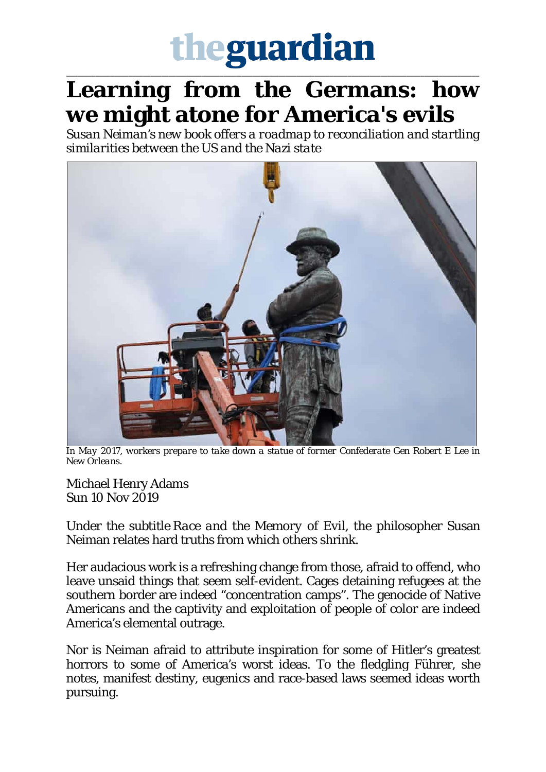## theguardian

\_\_\_\_\_\_\_\_\_\_\_\_\_\_\_\_\_\_\_\_\_\_\_\_\_\_\_\_\_\_\_\_\_\_\_\_\_\_\_\_\_\_\_\_\_\_\_\_\_\_\_\_\_\_\_\_\_\_\_\_\_\_\_\_\_\_\_\_\_\_\_\_\_\_\_\_\_\_\_\_\_\_\_\_\_\_\_\_\_\_\_\_\_\_\_\_\_\_\_\_\_\_\_\_\_\_\_\_\_\_\_\_\_

## **Learning from the Germans: how we might atone for America's evils**

*Susan Neiman's new book offers a roadmap to reconciliation and startling similarities between the US and the Nazi state*



*In May 2017, workers prepare to take down a statue of former Confederate Gen Robert E Lee in New Orleans.*

Michael Henry Adams Sun 10 Nov 2019

Under the subtitle *Race and the Memory of Evil*, the philosopher Susan Neiman relates hard truths from which others shrink.

Her audacious work is a refreshing change from those, afraid to offend, who leave unsaid things that seem self-evident. Cages detaining refugees at the southern border are indeed "concentration camps". The genocide of Native Americans and the captivity and exploitation of people of color are indeed America's elemental outrage.

Nor is Neiman afraid to attribute inspiration for some of Hitler's greatest horrors to some of America's worst ideas. To the fledgling Führer, she notes, manifest destiny, eugenics and race-based laws seemed ideas worth pursuing.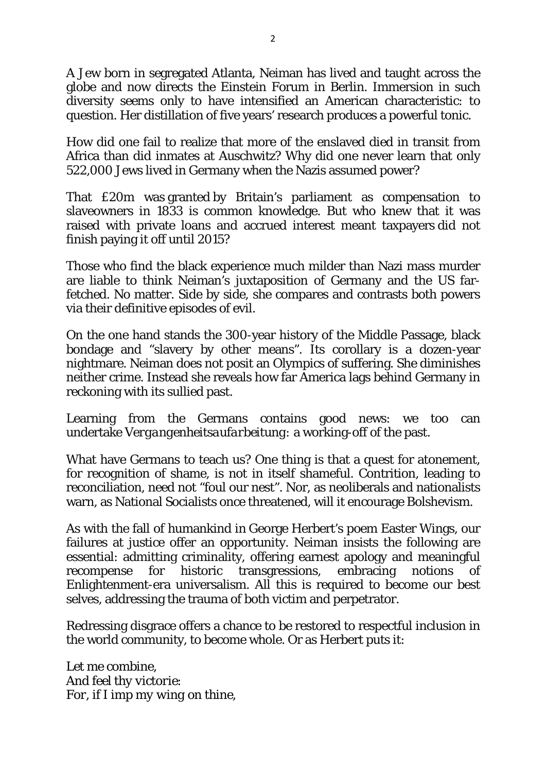A Jew born in segregated Atlanta, Neiman has lived and taught across the globe and now directs the Einstein Forum in Berlin. Immersion in such diversity seems only to have intensified an American characteristic: to question. Her distillation of five years' research produces a powerful tonic.

How did one fail to realize that more of the enslaved died in transit from Africa than did inmates at Auschwitz? Why did one never learn that only 522,000 Jews lived in Germany when the Nazis assumed power?

That £20m was granted by Britain's parliament as compensation to slaveowners in 1833 is common knowledge. But who knew that it was raised with private loans and accrued interest meant taxpayers did not finish paying it off until 2015?

Those who find the black experience much milder than Nazi mass murder are liable to think Neiman's juxtaposition of Germany and the US farfetched. No matter. Side by side, she compares and contrasts both powers via their definitive episodes of evil.

On the one hand stands the 300-year history of the Middle Passage, black bondage and "slavery by other means". Its corollary is a dozen-year nightmare. Neiman does not posit an Olympics of suffering. She diminishes neither crime. Instead she reveals how far America lags behind Germany in reckoning with its sullied past.

Learning from the Germans contains good news: we too can undertake *Vergangenheitsaufarbeitung:* a working-off of the past.

What have Germans to teach us? One thing is that a quest for atonement, for recognition of shame, is not in itself shameful. Contrition, leading to reconciliation, need not "foul our nest". Nor, as neoliberals and nationalists warn, as National Socialists once threatened, will it encourage Bolshevism.

As with the fall of humankind in George Herbert's poem Easter Wings, our failures at justice offer an opportunity. Neiman insists the following are essential: admitting criminality, offering earnest apology and meaningful recompense for historic transgressions, embracing notions of Enlightenment-era universalism. All this is required to become our best selves, addressing the trauma of both victim and perpetrator.

Redressing disgrace offers a chance to be restored to respectful inclusion in the world community, to become whole. Or as Herbert puts it:

*Let me combine, And feel thy victorie: For, if I imp my wing on thine,*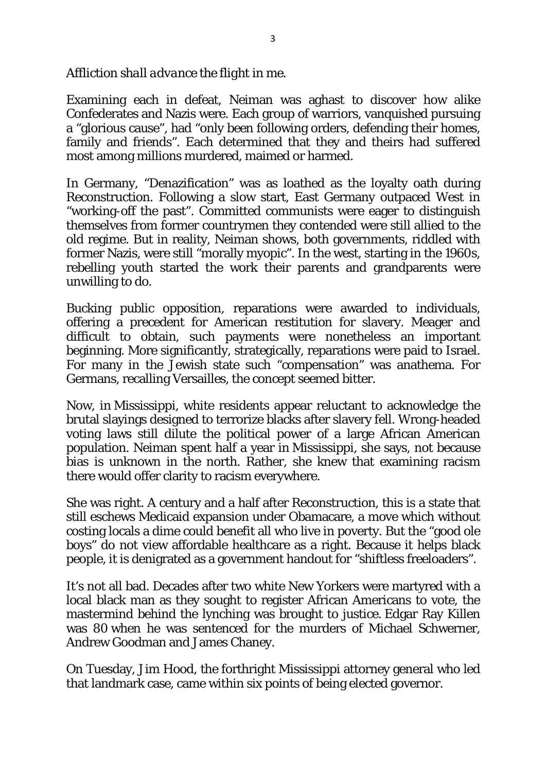## *Affliction shall advance the flight in me.*

Examining each in defeat, Neiman was aghast to discover how alike Confederates and Nazis were. Each group of warriors, vanquished pursuing a "glorious cause", had "only been following orders, defending their homes, family and friends". Each determined that they and theirs had suffered most among millions murdered, maimed or harmed.

In Germany, "Denazification" was as loathed as the loyalty oath during Reconstruction. Following a slow start, East Germany outpaced West in "working-off the past". Committed communists were eager to distinguish themselves from former countrymen they contended were still allied to the old regime. But in reality, Neiman shows, both governments, riddled with former Nazis, were still "morally myopic". In the west, starting in the 1960s, rebelling youth started the work their parents and grandparents were unwilling to do.

Bucking public opposition, reparations were awarded to individuals, offering a precedent for American restitution for slavery. Meager and difficult to obtain, such payments were nonetheless an important beginning. More significantly, strategically, reparations were paid to Israel. For many in the Jewish state such "compensation" was anathema. For Germans, recalling Versailles, the concept seemed bitter.

Now, in Mississippi, white residents appear reluctant to acknowledge the brutal slayings designed to terrorize blacks after slavery fell. Wrong-headed voting laws still dilute the political power of a large African American population. Neiman spent half a year in Mississippi, she says, not because bias is unknown in the north. Rather, she knew that examining racism there would offer clarity to racism everywhere.

She was right. A century and a half after Reconstruction, this is a state that still eschews Medicaid expansion under Obamacare, a move which without costing locals a dime could benefit all who live in poverty. But the "good ole boys" do not view affordable healthcare as a right. Because it helps black people, it is denigrated as a government handout for "shiftless freeloaders".

It's not all bad. Decades after two white New Yorkers were martyred with a local black man as they sought to register African Americans to vote, the mastermind behind the lynching was brought to justice. Edgar Ray Killen was 80 when he was sentenced for the murders of Michael Schwerner, Andrew Goodman and James Chaney.

On Tuesday, Jim Hood, the forthright Mississippi attorney general who led that landmark case, came within six points of being elected governor.